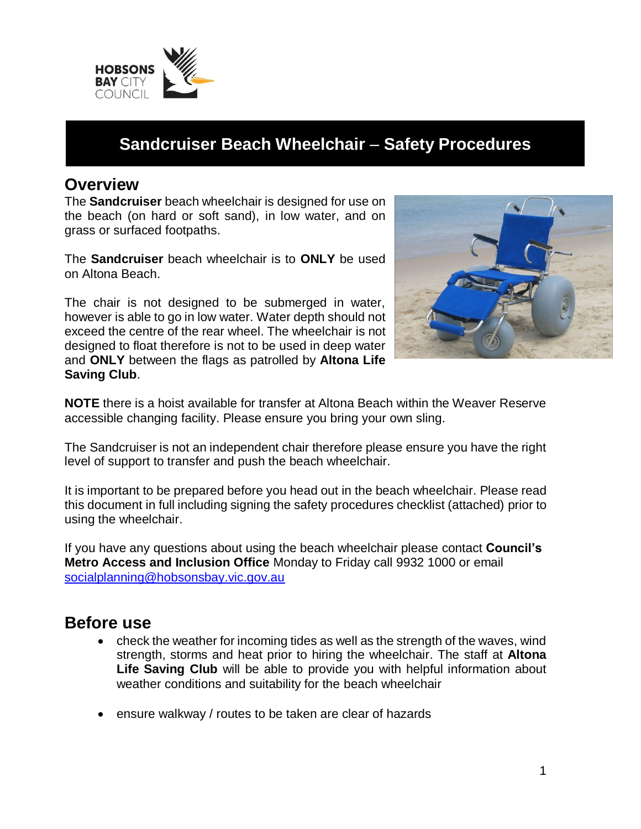

# **Sandcruiser Beach Wheelchair** – **Safety Procedures**

#### **Overview**

The **Sandcruiser** beach wheelchair is designed for use on the beach (on hard or soft sand), in low water, and on grass or surfaced footpaths.

The **Sandcruiser** beach wheelchair is to **ONLY** be used on Altona Beach.

The chair is not designed to be submerged in water, however is able to go in low water. Water depth should not exceed the centre of the rear wheel. The wheelchair is not designed to float therefore is not to be used in deep water and **ONLY** between the flags as patrolled by **Altona Life Saving Club**.



**NOTE** there is a hoist available for transfer at Altona Beach within the Weaver Reserve accessible changing facility. Please ensure you bring your own sling.

The Sandcruiser is not an independent chair therefore please ensure you have the right level of support to transfer and push the beach wheelchair.

It is important to be prepared before you head out in the beach wheelchair. Please read this document in full including signing the safety procedures checklist (attached) prior to using the wheelchair.

If you have any questions about using the beach wheelchair please contact **Council's Metro Access and Inclusion Office** Monday to Friday call 9932 1000 or email socialplanning@hobsonsbay.vic.gov.au

#### **Before use**

- check the weather for incoming tides as well as the strength of the waves, wind strength, storms and heat prior to hiring the wheelchair. The staff at **Altona Life Saving Club** will be able to provide you with helpful information about weather conditions and suitability for the beach wheelchair
- ensure walkway / routes to be taken are clear of hazards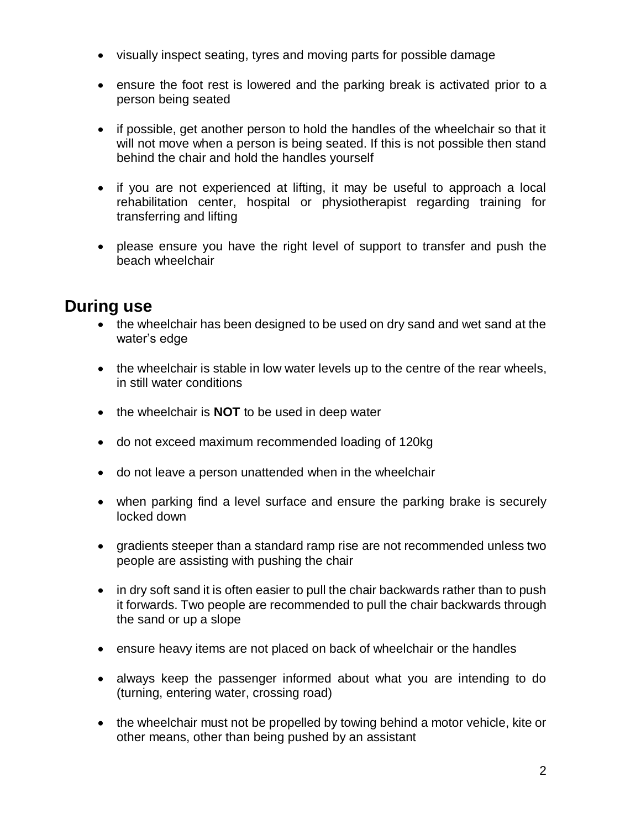- visually inspect seating, tyres and moving parts for possible damage
- ensure the foot rest is lowered and the parking break is activated prior to a person being seated
- if possible, get another person to hold the handles of the wheelchair so that it will not move when a person is being seated. If this is not possible then stand behind the chair and hold the handles yourself
- if you are not experienced at lifting, it may be useful to approach a local rehabilitation center, hospital or physiotherapist regarding training for transferring and lifting
- please ensure you have the right level of support to transfer and push the beach wheelchair

## **During use**

- the wheelchair has been designed to be used on dry sand and wet sand at the water's edge
- the wheelchair is stable in low water levels up to the centre of the rear wheels, in still water conditions
- the wheelchair is **NOT** to be used in deep water
- do not exceed maximum recommended loading of 120kg
- do not leave a person unattended when in the wheelchair
- when parking find a level surface and ensure the parking brake is securely locked down
- gradients steeper than a standard ramp rise are not recommended unless two people are assisting with pushing the chair
- in dry soft sand it is often easier to pull the chair backwards rather than to push it forwards. Two people are recommended to pull the chair backwards through the sand or up a slope
- ensure heavy items are not placed on back of wheelchair or the handles
- always keep the passenger informed about what you are intending to do (turning, entering water, crossing road)
- the wheelchair must not be propelled by towing behind a motor vehicle, kite or other means, other than being pushed by an assistant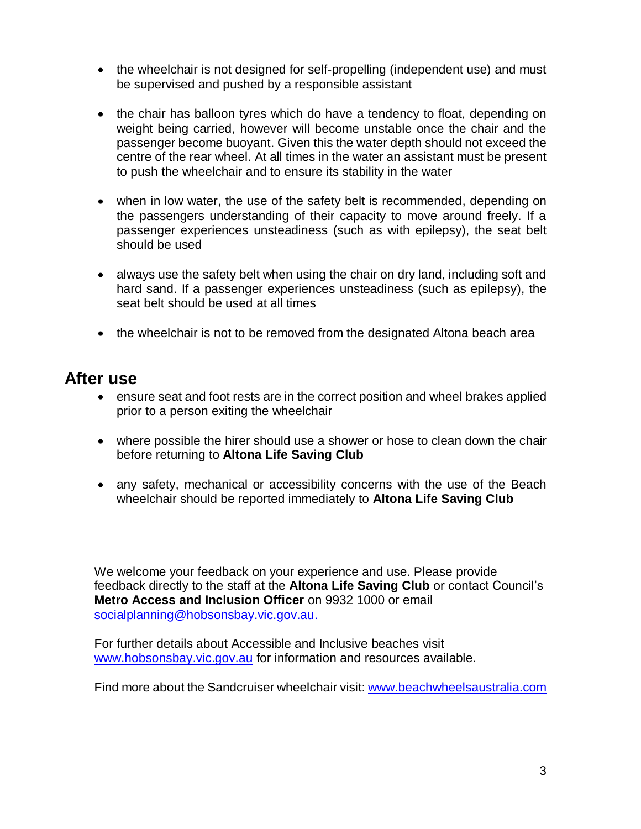- the wheelchair is not designed for self-propelling (independent use) and must be supervised and pushed by a responsible assistant
- the chair has balloon tyres which do have a tendency to float, depending on weight being carried, however will become unstable once the chair and the passenger become buoyant. Given this the water depth should not exceed the centre of the rear wheel. At all times in the water an assistant must be present to push the wheelchair and to ensure its stability in the water
- when in low water, the use of the safety belt is recommended, depending on the passengers understanding of their capacity to move around freely. If a passenger experiences unsteadiness (such as with epilepsy), the seat belt should be used
- always use the safety belt when using the chair on dry land, including soft and hard sand. If a passenger experiences unsteadiness (such as epilepsy), the seat belt should be used at all times
- the wheelchair is not to be removed from the designated Altona beach area

### **After use**

- ensure seat and foot rests are in the correct position and wheel brakes applied prior to a person exiting the wheelchair
- where possible the hirer should use a shower or hose to clean down the chair before returning to **Altona Life Saving Club**
- any safety, mechanical or accessibility concerns with the use of the Beach wheelchair should be reported immediately to **Altona Life Saving Club**

We welcome your feedback on your experience and use. Please provide feedback directly to the staff at the **Altona Life Saving Club** or contact Council's **Metro Access and Inclusion Officer** on 9932 1000 or email socialplanning@hobsonsbay.vic.gov.au.

For further details about Accessible and Inclusive beaches visit www.hobsonsbay.vic.gov.au for information and resources available.

Find more about the Sandcruiser wheelchair visit: www.beachwheelsaustralia.com